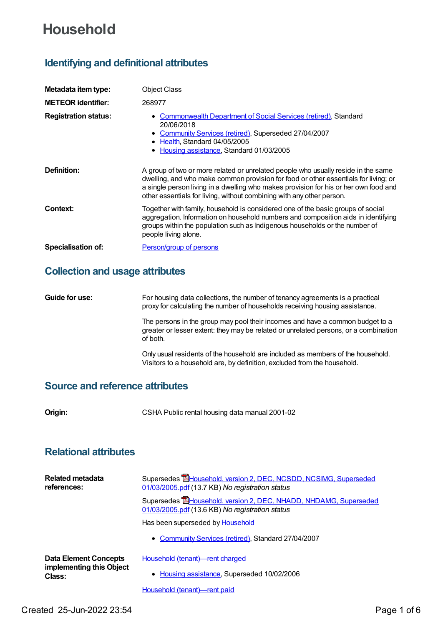# **Household**

## **Identifying and definitional attributes**

| Metadata item type:         | <b>Object Class</b>                                                                                                                                                                                                                                                                                                                       |
|-----------------------------|-------------------------------------------------------------------------------------------------------------------------------------------------------------------------------------------------------------------------------------------------------------------------------------------------------------------------------------------|
| <b>METEOR identifier:</b>   | 268977                                                                                                                                                                                                                                                                                                                                    |
| <b>Registration status:</b> | <b>Commonwealth Department of Social Services (retired), Standard</b><br>20/06/2018<br>• Community Services (retired), Superseded 27/04/2007<br>• Health, Standard 04/05/2005<br>• Housing assistance, Standard 01/03/2005                                                                                                                |
| Definition:                 | A group of two or more related or unrelated people who usually reside in the same<br>dwelling, and who make common provision for food or other essentials for living; or<br>a single person living in a dwelling who makes provision for his or her own food and<br>other essentials for living, without combining with any other person. |
| Context:                    | Together with family, household is considered one of the basic groups of social<br>aggregation. Information on household numbers and composition aids in identifying<br>groups within the population such as Indigenous households or the number of<br>people living alone.                                                               |
| <b>Specialisation of:</b>   | <b>Person/group of persons</b>                                                                                                                                                                                                                                                                                                            |

### **Collection and usage attributes**

**Guide for use:** For housing data collections, the number of tenancy agreements is a practical proxy for calculating the number of households receiving housing assistance.

The persons in the group may pool their incomes and have a common budget to a greater or lesser extent: they may be related or unrelated persons, or a combination of both.

Only usual residents of the household are included as members of the household. Visitors to a household are, by definition, excluded from the household.

#### **Source and reference attributes**

**Origin:** CSHA Public rental housing data manual 2001-02

#### **Relational attributes**

| Related metadata<br>references:                                    | Supersedes <b>E</b> Household, version 2, DEC, NCSDD, NCSIMG, Superseded<br>01/03/2005.pdf (13.7 KB) No registration status |
|--------------------------------------------------------------------|-----------------------------------------------------------------------------------------------------------------------------|
|                                                                    | Supersedes <b>E</b> Household, version 2, DEC, NHADD, NHDAMG, Superseded<br>01/03/2005.pdf (13.6 KB) No registration status |
|                                                                    | Has been superseded by <b>Household</b>                                                                                     |
|                                                                    | • Community Services (retired), Standard 27/04/2007                                                                         |
| <b>Data Element Concepts</b><br>implementing this Object<br>Class: | Household (tenant)-rent charged                                                                                             |
|                                                                    | Housing assistance, Superseded 10/02/2006                                                                                   |

Household [\(tenant\)—rent](https://meteor.aihw.gov.au/content/269760) paid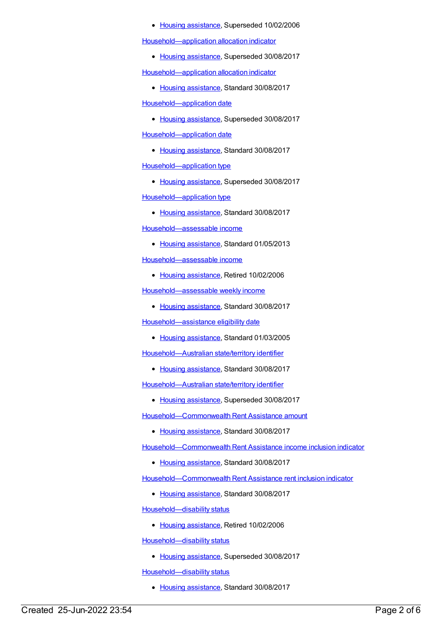#### • Housing [assistance](https://meteor.aihw.gov.au/RegistrationAuthority/11), Superseded 10/02/2006

[Household—application](https://meteor.aihw.gov.au/content/444365) allocation indicator

• Housing [assistance](https://meteor.aihw.gov.au/RegistrationAuthority/11), Superseded 30/08/2017

[Household—application](https://meteor.aihw.gov.au/content/608121) allocation indicator

• Housing [assistance](https://meteor.aihw.gov.au/RegistrationAuthority/11), Standard 30/08/2017

[Household—application](https://meteor.aihw.gov.au/content/472567) date

• Housing [assistance](https://meteor.aihw.gov.au/RegistrationAuthority/11), Superseded 30/08/2017 [Household—application](https://meteor.aihw.gov.au/content/608127) date

• Housing [assistance](https://meteor.aihw.gov.au/RegistrationAuthority/11), Standard 30/08/2017 [Household—application](https://meteor.aihw.gov.au/content/463931) type

• Housing [assistance](https://meteor.aihw.gov.au/RegistrationAuthority/11), Superseded 30/08/2017 [Household—application](https://meteor.aihw.gov.au/content/608130) type

• Housing [assistance](https://meteor.aihw.gov.au/RegistrationAuthority/11), Standard 30/08/2017

[Household—assessable](https://meteor.aihw.gov.au/content/462191) income

• Housing [assistance](https://meteor.aihw.gov.au/RegistrationAuthority/11), Standard 01/05/2013

[Household—assessable](https://meteor.aihw.gov.au/content/269755) income

• Housing [assistance](https://meteor.aihw.gov.au/RegistrationAuthority/11), Retired 10/02/2006

[Household—assessable](https://meteor.aihw.gov.au/content/595875) weekly income

• Housing [assistance](https://meteor.aihw.gov.au/RegistrationAuthority/11), Standard 30/08/2017

[Household—assistance](https://meteor.aihw.gov.au/content/269692) eligibility date

• Housing [assistance](https://meteor.aihw.gov.au/RegistrationAuthority/11), Standard 01/03/2005

[Household—Australian](https://meteor.aihw.gov.au/content/608073) state/territory identifier

• Housing [assistance](https://meteor.aihw.gov.au/RegistrationAuthority/11), Standard 30/08/2017

[Household—Australian](https://meteor.aihw.gov.au/content/385979) state/territory identifier

• Housing [assistance](https://meteor.aihw.gov.au/RegistrationAuthority/11), Superseded 30/08/2017

[Household—Commonwealth](https://meteor.aihw.gov.au/content/462861) Rent Assistance amount

• Housing [assistance](https://meteor.aihw.gov.au/RegistrationAuthority/11), Standard 30/08/2017

[Household—Commonwealth](https://meteor.aihw.gov.au/content/610153) Rent Assistance income inclusion indicator

• Housing [assistance](https://meteor.aihw.gov.au/RegistrationAuthority/11), Standard 30/08/2017

[Household—Commonwealth](https://meteor.aihw.gov.au/content/610146) Rent Assistance rent inclusion indicator

• Housing [assistance](https://meteor.aihw.gov.au/RegistrationAuthority/11), Standard 30/08/2017

[Household—disability](https://meteor.aihw.gov.au/content/269739) status

• Housing [assistance](https://meteor.aihw.gov.au/RegistrationAuthority/11), Retired 10/02/2006

[Household—disability](https://meteor.aihw.gov.au/content/461253) status

• Housing [assistance](https://meteor.aihw.gov.au/RegistrationAuthority/11), Superseded 30/08/2017

[Household—disability](https://meteor.aihw.gov.au/content/607874) status

• Housing [assistance](https://meteor.aihw.gov.au/RegistrationAuthority/11), Standard 30/08/2017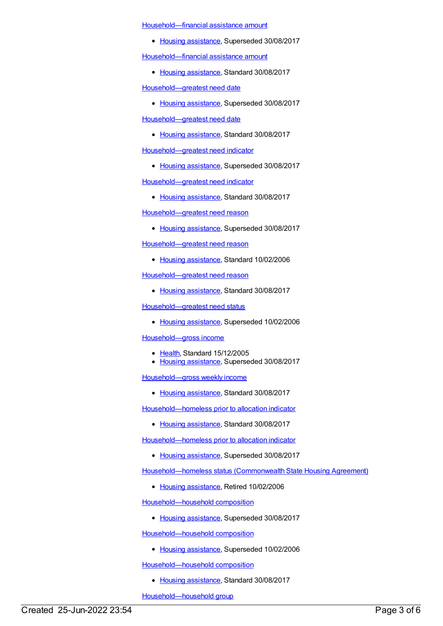[Household—financial](https://meteor.aihw.gov.au/content/385258) assistance amount

• Housing [assistance](https://meteor.aihw.gov.au/RegistrationAuthority/11), Superseded 30/08/2017

[Household—financial](https://meteor.aihw.gov.au/content/608506) assistance amount

• Housing [assistance](https://meteor.aihw.gov.au/RegistrationAuthority/11), Standard 30/08/2017

[Household—greatest](https://meteor.aihw.gov.au/content/388453) need date

• Housing [assistance](https://meteor.aihw.gov.au/RegistrationAuthority/11), Superseded 30/08/2017

[Household—greatest](https://meteor.aihw.gov.au/content/608060) need date

• Housing [assistance](https://meteor.aihw.gov.au/RegistrationAuthority/11), Standard 30/08/2017

[Household—greatest](https://meteor.aihw.gov.au/content/456557) need indicator

• Housing [assistance](https://meteor.aihw.gov.au/RegistrationAuthority/11), Superseded 30/08/2017

[Household—greatest](https://meteor.aihw.gov.au/content/608417) need indicator

• Housing [assistance](https://meteor.aihw.gov.au/RegistrationAuthority/11), Standard 30/08/2017

[Household—greatest](https://meteor.aihw.gov.au/content/462208) need reason

• Housing [assistance](https://meteor.aihw.gov.au/RegistrationAuthority/11), Superseded 30/08/2017

[Household—greatest](https://meteor.aihw.gov.au/content/301704) need reason

• Housing [assistance](https://meteor.aihw.gov.au/RegistrationAuthority/11), Standard 10/02/2006

[Household—greatest](https://meteor.aihw.gov.au/content/608064) need reason

• Housing [assistance](https://meteor.aihw.gov.au/RegistrationAuthority/11), Standard 30/08/2017

[Household—greatest](https://meteor.aihw.gov.au/content/269613) need status

• Housing [assistance](https://meteor.aihw.gov.au/RegistrationAuthority/11), Superseded 10/02/2006

[Household—gross](https://meteor.aihw.gov.au/content/269756) income

- [Health](https://meteor.aihw.gov.au/RegistrationAuthority/12), Standard 15/12/2005
- Housing [assistance](https://meteor.aihw.gov.au/RegistrationAuthority/11), Superseded 30/08/2017

[Household—gross](https://meteor.aihw.gov.au/content/607880) weekly income

• Housing [assistance](https://meteor.aihw.gov.au/RegistrationAuthority/11), Standard 30/08/2017

[Household—homeless](https://meteor.aihw.gov.au/content/608404) prior to allocation indicator

• Housing [assistance](https://meteor.aihw.gov.au/RegistrationAuthority/11), Standard 30/08/2017

[Household—homeless](https://meteor.aihw.gov.au/content/462845) prior to allocation indicator

• Housing [assistance](https://meteor.aihw.gov.au/RegistrationAuthority/11), Superseded 30/08/2017

[Household—homeless](https://meteor.aihw.gov.au/content/269748) status (Commonwealth State Housing Agreement)

• Housing [assistance](https://meteor.aihw.gov.au/RegistrationAuthority/11), Retired 10/02/2006

[Household—household](https://meteor.aihw.gov.au/content/303379) composition

• Housing [assistance](https://meteor.aihw.gov.au/RegistrationAuthority/11), Superseded 30/08/2017

[Household—household](https://meteor.aihw.gov.au/content/269608) composition

• Housing [assistance](https://meteor.aihw.gov.au/RegistrationAuthority/11), Superseded 10/02/2006

[Household—household](https://meteor.aihw.gov.au/content/608016) composition

• Housing [assistance](https://meteor.aihw.gov.au/RegistrationAuthority/11), Standard 30/08/2017

[Household—household](https://meteor.aihw.gov.au/content/269611) group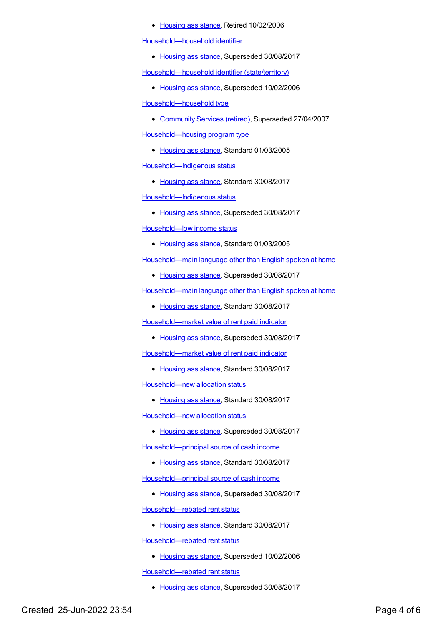• Housing [assistance](https://meteor.aihw.gov.au/RegistrationAuthority/11), Retired 10/02/2006

[Household—household](https://meteor.aihw.gov.au/content/302659) identifier

• Housing [assistance](https://meteor.aihw.gov.au/RegistrationAuthority/11), Superseded 30/08/2017

[Household—household](https://meteor.aihw.gov.au/content/269752) identifier (state/territory)

• Housing [assistance](https://meteor.aihw.gov.au/RegistrationAuthority/11), Superseded 10/02/2006

[Household—household](https://meteor.aihw.gov.au/content/269569) type

[Community](https://meteor.aihw.gov.au/RegistrationAuthority/1) Services (retired), Superseded 27/04/2007

[Household—housing](https://meteor.aihw.gov.au/content/269705) program type

- Housing [assistance](https://meteor.aihw.gov.au/RegistrationAuthority/11), Standard 01/03/2005 [Household—Indigenous](https://meteor.aihw.gov.au/content/608134) status
	- Housing [assistance](https://meteor.aihw.gov.au/RegistrationAuthority/11), Standard 30/08/2017

[Household—Indigenous](https://meteor.aihw.gov.au/content/460736) status

• Housing [assistance](https://meteor.aihw.gov.au/RegistrationAuthority/11), Superseded 30/08/2017

[Household—low](https://meteor.aihw.gov.au/content/269625) income status

• Housing [assistance](https://meteor.aihw.gov.au/RegistrationAuthority/11), Standard 01/03/2005

[Household—main](https://meteor.aihw.gov.au/content/444283) language other than English spoken at home

• Housing [assistance](https://meteor.aihw.gov.au/RegistrationAuthority/11), Superseded 30/08/2017

[Household—main](https://meteor.aihw.gov.au/content/608024) language other than English spoken at home

• Housing [assistance](https://meteor.aihw.gov.au/RegistrationAuthority/11), Standard 30/08/2017

[Household—market](https://meteor.aihw.gov.au/content/443339) value of rent paid indicator

• Housing [assistance](https://meteor.aihw.gov.au/RegistrationAuthority/11), Superseded 30/08/2017

[Household—market](https://meteor.aihw.gov.au/content/608030) value of rent paid indicator

• Housing [assistance](https://meteor.aihw.gov.au/RegistrationAuthority/11), Standard 30/08/2017

[Household—new](https://meteor.aihw.gov.au/content/608137) allocation status

• Housing [assistance](https://meteor.aihw.gov.au/RegistrationAuthority/11), Standard 30/08/2017

[Household—new](https://meteor.aihw.gov.au/content/269663) allocation status

• Housing [assistance](https://meteor.aihw.gov.au/RegistrationAuthority/11), Superseded 30/08/2017

[Household—principal](https://meteor.aihw.gov.au/content/608445) source of cash income

• Housing [assistance](https://meteor.aihw.gov.au/RegistrationAuthority/11), Standard 30/08/2017

[Household—principal](https://meteor.aihw.gov.au/content/462752) source of cash income

• Housing [assistance](https://meteor.aihw.gov.au/RegistrationAuthority/11), Superseded 30/08/2017

[Household—rebated](https://meteor.aihw.gov.au/content/608140) rent status

• Housing [assistance](https://meteor.aihw.gov.au/RegistrationAuthority/11), Standard 30/08/2017

[Household—rebated](https://meteor.aihw.gov.au/content/269669) rent status

• Housing [assistance](https://meteor.aihw.gov.au/RegistrationAuthority/11), Superseded 10/02/2006

[Household—rebated](https://meteor.aihw.gov.au/content/302578) rent status

• Housing [assistance](https://meteor.aihw.gov.au/RegistrationAuthority/11), Superseded 30/08/2017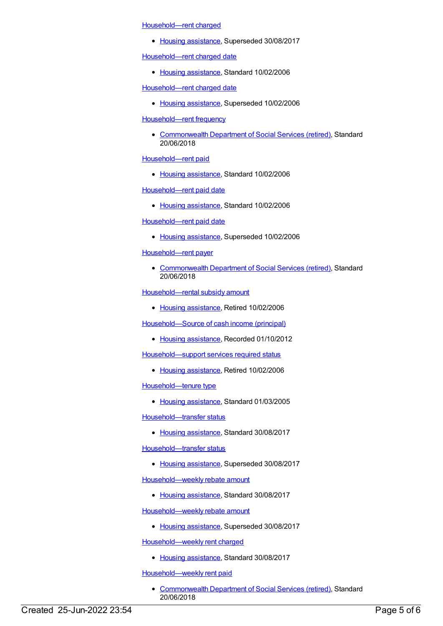[Household—rent](https://meteor.aihw.gov.au/content/302595) charged

• Housing [assistance](https://meteor.aihw.gov.au/RegistrationAuthority/11), Superseded 30/08/2017

[Household—rent](https://meteor.aihw.gov.au/content/302726) charged date

• Housing [assistance](https://meteor.aihw.gov.au/RegistrationAuthority/11), Standard 10/02/2006

[Household—rent](https://meteor.aihw.gov.au/content/269730) charged date

• Housing [assistance](https://meteor.aihw.gov.au/RegistrationAuthority/11), Superseded 10/02/2006

[Household—rent](https://meteor.aihw.gov.au/content/650942) frequency

[Commonwealth](https://meteor.aihw.gov.au/RegistrationAuthority/7) Department of Social Services (retired), Standard 20/06/2018

[Household—rent](https://meteor.aihw.gov.au/content/302607) paid

• Housing [assistance](https://meteor.aihw.gov.au/RegistrationAuthority/11), Standard 10/02/2006

[Household—rent](https://meteor.aihw.gov.au/content/302716) paid date

• Housing [assistance](https://meteor.aihw.gov.au/RegistrationAuthority/11), Standard 10/02/2006

[Household—rent](https://meteor.aihw.gov.au/content/269731) paid date

• Housing [assistance](https://meteor.aihw.gov.au/RegistrationAuthority/11), Superseded 10/02/2006

[Household—rent](https://meteor.aihw.gov.au/content/648492) payer

[Commonwealth](https://meteor.aihw.gov.au/RegistrationAuthority/7) Department of Social Services (retired), Standard 20/06/2018

[Household—rental](https://meteor.aihw.gov.au/content/269706) subsidy amount

• Housing [assistance](https://meteor.aihw.gov.au/RegistrationAuthority/11), Retired 10/02/2006

[Household—Source](https://meteor.aihw.gov.au/content/386919) of cash income (principal)

• Housing [assistance](https://meteor.aihw.gov.au/RegistrationAuthority/11), Recorded 01/10/2012

[Household—support](https://meteor.aihw.gov.au/content/269710) services required status

• Housing [assistance](https://meteor.aihw.gov.au/RegistrationAuthority/11), Retired 10/02/2006

[Household—tenure](https://meteor.aihw.gov.au/content/269784) type

• Housing [assistance](https://meteor.aihw.gov.au/RegistrationAuthority/11), Standard 01/03/2005

[Household—transfer](https://meteor.aihw.gov.au/content/608147) status

• Housing [assistance](https://meteor.aihw.gov.au/RegistrationAuthority/11), Standard 30/08/2017

[Household—transfer](https://meteor.aihw.gov.au/content/301985) status

• Housing [assistance](https://meteor.aihw.gov.au/RegistrationAuthority/11), Superseded 30/08/2017

[Household—weekly](https://meteor.aihw.gov.au/content/608152) rebate amount

• Housing [assistance](https://meteor.aihw.gov.au/RegistrationAuthority/11), Standard 30/08/2017

[Household—weekly](https://meteor.aihw.gov.au/content/461248) rebate amount

• Housing [assistance](https://meteor.aihw.gov.au/RegistrationAuthority/11), Superseded 30/08/2017

[Household—weekly](https://meteor.aihw.gov.au/content/608143) rent charged

• Housing [assistance](https://meteor.aihw.gov.au/RegistrationAuthority/11), Standard 30/08/2017

[Household—weekly](https://meteor.aihw.gov.au/content/653401) rent paid

• [Commonwealth](https://meteor.aihw.gov.au/RegistrationAuthority/7) Department of Social Services (retired), Standard 20/06/2018